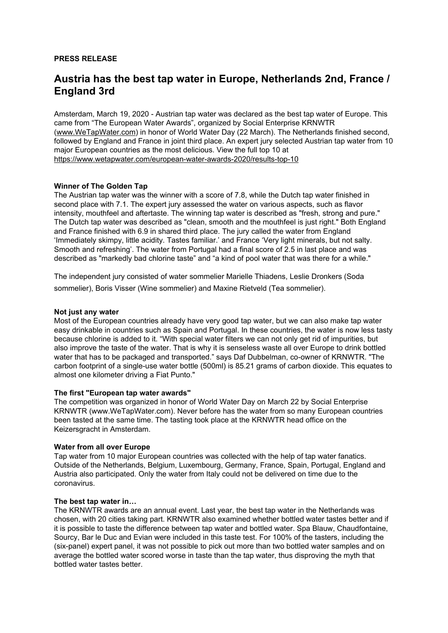## **PRESS RELEASE**

# **Austria has the best tap water in Europe, Netherlands 2nd, France / England 3rd**

Amsterdam, March 19, 2020 - Austrian tap water was declared as the best tap water of Europe. This came from "The European Water Awards", organized by Social Enterprise KRNWTR [\(www.WeTapWater.com](http://www.wetapwater.com/)) in honor of World Water Day (22 March). The Netherlands finished second, followed by England and France in joint third place. An expert jury selected Austrian tap water from 10 major European countries as the most delicious. View the full top 10 at <https://www.wetapwater.com/european-water-awards-2020/results-top-10>

## **Winner of The Golden Tap**

The Austrian tap water was the winner with a score of 7.8, while the Dutch tap water finished in second place with 7.1. The expert jury assessed the water on various aspects, such as flavor intensity, mouthfeel and aftertaste. The winning tap water is described as "fresh, strong and pure." The Dutch tap water was described as "clean, smooth and the mouthfeel is just right." Both England and France finished with 6.9 in shared third place. The jury called the water from England 'Immediately skimpy, little acidity. Tastes familiar.' and France 'Very light minerals, but not salty. Smooth and refreshing'. The water from Portugal had a final score of 2.5 in last place and was described as "markedly bad chlorine taste" and "a kind of pool water that was there for a while."

The independent jury consisted of water sommelier Marielle Thiadens, Leslie Dronkers (Soda sommelier), Boris Visser (Wine sommelier) and Maxine Rietveld (Tea sommelier).

#### **Not just any water**

Most of the European countries already have very good tap water, but we can also make tap water easy drinkable in countries such as Spain and Portugal. In these countries, the water is now less tasty because chlorine is added to it. "With special water filters we can not only get rid of impurities, but also improve the taste of the water. That is why it is senseless waste all over Europe to drink bottled water that has to be packaged and transported." says Daf Dubbelman, co-owner of KRNWTR. "The carbon footprint of a single-use water bottle (500ml) is 85.21 grams of carbon dioxide. This equates to almost one kilometer driving a Fiat Punto."

#### **The first "European tap water awards"**

The competition was organized in honor of World Water Day on March 22 by Social Enterprise KRNWTR (www.WeTapWater.com). Never before has the water from so many European countries been tasted at the same time. The tasting took place at the KRNWTR head office on the Keizersgracht in Amsterdam.

#### **Water from all over Europe**

Tap water from 10 major European countries was collected with the help of tap water fanatics. Outside of the Netherlands, Belgium, Luxembourg, Germany, France, Spain, Portugal, England and Austria also participated. Only the water from Italy could not be delivered on time due to the coronavirus.

#### **The best tap water in…**

The KRNWTR awards are an annual event. Last year, the best tap water in the Netherlands was chosen, with 20 cities taking part. KRNWTR also examined whether bottled water tastes better and if it is possible to taste the difference between tap water and bottled water. Spa Blauw, Chaudfontaine, Sourcy, Bar le Duc and Evian were included in this taste test. For 100% of the tasters, including the (six-panel) expert panel, it was not possible to pick out more than two bottled water samples and on average the bottled water scored worse in taste than the tap water, thus disproving the myth that bottled water tastes better.